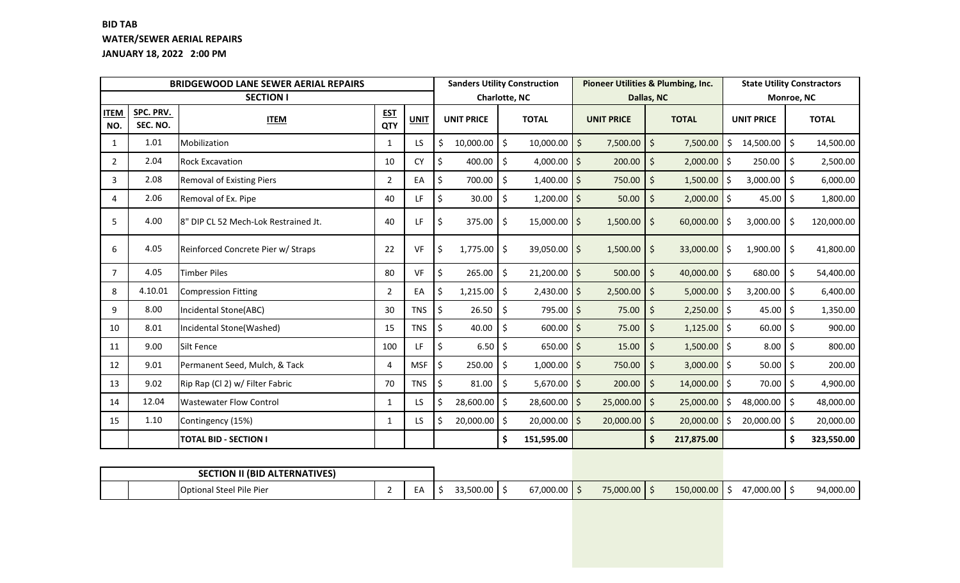## **BID TAB WATER/SEWER AERIAL REPAIRS JANUARY 18, 2022 2:00 PM**

|                    |                       | <b>BRIDGEWOOD LANE SEWER AERIAL REPAIRS</b> | <b>Sanders Utility Construction</b> |             |                                          |                      | Pioneer Utilities & Plumbing, Inc. | <b>State Utility Constractors</b> |                         |                     |                   |                    |              |  |
|--------------------|-----------------------|---------------------------------------------|-------------------------------------|-------------|------------------------------------------|----------------------|------------------------------------|-----------------------------------|-------------------------|---------------------|-------------------|--------------------|--------------|--|
|                    |                       | <b>SECTION I</b>                            |                                     |             | <b>Charlotte, NC</b>                     |                      |                                    |                                   | Dallas, NC              |                     | Monroe, NC        |                    |              |  |
| <b>ITEM</b><br>NO. | SPC. PRV.<br>SEC. NO. | <b>ITEM</b>                                 | <b>EST</b><br>QTY                   | <b>UNIT</b> | <b>UNIT PRICE</b>                        |                      | <b>TOTAL</b>                       | <b>UNIT PRICE</b>                 | <b>TOTAL</b>            |                     | <b>UNIT PRICE</b> |                    | <b>TOTAL</b> |  |
| 1                  | 1.01                  | Mobilization                                | 1                                   | LS          | Ś<br>10,000.00                           | $\zeta$              | $10,000.00$ \$                     | $7,500.00$ \$                     | 7,500.00                | \$                  | 14,500.00         | \$                 | 14,500.00    |  |
| $\overline{2}$     | 2.04                  | <b>Rock Excavation</b>                      | 10                                  | <b>CY</b>   | \$<br>400.00                             | \$                   | 4,000.00 $\vert$ \$                | 200.00                            | $\zeta$<br>2,000.00     | $\ddot{\mathsf{S}}$ | 250.00            | \$                 | 2,500.00     |  |
| 3                  | 2.08                  | <b>Removal of Existing Piers</b>            | $\overline{2}$                      | EA          | 700.00<br>Ŝ.                             | \$                   | $1,400.00$ \$                      | 750.00                            | Ŝ.<br>1,500.00          | Ŝ.                  | 3,000.00          | Ŝ.                 | 6,000.00     |  |
| 4                  | 2.06                  | Removal of Ex. Pipe                         | 40                                  | LF.         | \$<br>30.00                              | \$                   | $1,200.00$ \$                      | 50.00                             | $\zeta$<br>2,000.00     | $\zeta$             | 45.00             | $\zeta$            | 1,800.00     |  |
| 5                  | 4.00                  | 8" DIP CL 52 Mech-Lok Restrained Jt.        | 40                                  | LF          | \$<br>375.00                             | $\ddot{\phi}$        | $15,000.00$ \$                     | $1,500.00$ \$                     | 60,000.00               | -Ś                  | 3,000.00          | Ŝ.                 | 120,000.00   |  |
| 6                  | 4.05                  | Reinforced Concrete Pier w/ Straps          | 22                                  | VF          | \$<br>$1,775.00$ \$                      |                      | $39,050.00$ \$                     | $1,500.00$ \$                     | 33,000.00               | -\$                 | 1,900.00          | l \$               | 41,800.00    |  |
| $\overline{7}$     | 4.05                  | <b>Timber Piles</b>                         | 80                                  | <b>VF</b>   | $\boldsymbol{\zeta}$<br>265.00           | $\mathsf{S}$         | $21,200.00$ \$                     | 500.00                            | 40,000.00 \$<br>$\zeta$ |                     | 680.00            | $\mathsf{\hat{S}}$ | 54,400.00    |  |
| 8                  | 4.10.01               | Compression Fitting                         | 2                                   | EA          | \$<br>1,215.00                           | $\mathsf{S}$         | $2,430.00$ \$                      | 2,500.00                          | $\zeta$<br>5,000.00     | -\$                 | 3,200.00          | \$                 | 6,400.00     |  |
| 9                  | 8.00                  | Incidental Stone(ABC)                       | 30                                  | <b>TNS</b>  | $\mathsf{\hat{S}}$<br>26.50              | $\boldsymbol{\zeta}$ | $795.00$ \$                        | 75.00                             | $\zeta$<br>2,250.00     | $\ddot{\mathsf{S}}$ | 45.00             | \$                 | 1,350.00     |  |
| 10                 | 8.01                  | Incidental Stone(Washed)                    | 15                                  | <b>TNS</b>  | $\boldsymbol{\mathsf{S}}$<br>40.00       | \$                   | 600.00                             | \$<br>75.00                       | \$<br>1,125.00          | $\ddot{\mathsf{S}}$ | 60.00             | \$                 | 900.00       |  |
| 11                 | 9.00                  | Silt Fence                                  | 100                                 | LF          | $\boldsymbol{\mathsf{S}}$<br>$6.50$   \$ |                      | $650.00$   \$                      | 15.00                             | 1,500.00<br>Ŝ.          | $\zeta$             | 8.00              | Ŝ.                 | 800.00       |  |
| 12                 | 9.01                  | Permanent Seed, Mulch, & Tack               | 4                                   | <b>MSF</b>  | \$<br>250.00                             | \$                   | $1,000.00$ \$                      | 750.00                            | 3,000.00<br>$\zeta$     | $\mathsf{S}$        | 50.00             | \$                 | 200.00       |  |
| 13                 | 9.02                  | Rip Rap (Cl 2) w/ Filter Fabric             | 70                                  | <b>TNS</b>  | 81.00<br>\$                              | Ŝ.                   | $5,670.00$ \$                      | 200.00                            | 14,000.00<br>$\zeta$    | l \$                | 70.00             | \$                 | 4,900.00     |  |
| 14                 | 12.04                 | <b>Wastewater Flow Control</b>              | $\mathbf{1}$                        | LS.         | $28,600.00$ $\frac{1}{5}$<br>\$          |                      | $28,600.00$ \$                     | $25,000.00$ \$                    | 25,000.00               | \$                  | 48,000.00         | \$                 | 48,000.00    |  |
| 15                 | 1.10                  | Contingency (15%)                           | 1                                   | LS          | $20,000.00$ \$<br>\$                     |                      | $20,000.00$ \$                     | $20,000.00$ \$                    | 20,000.00               | \$                  | 20,000.00         | \$                 | 20,000.00    |  |
|                    |                       | <b>TOTAL BID - SECTION I</b>                |                                     |             |                                          | \$                   | 151,595.00                         |                                   | \$<br>217,875.00        |                     |                   | \$                 | 323,550.00   |  |
|                    |                       |                                             |                                     |             |                                          |                      |                                    |                                   |                         |                     |                   |                    |              |  |

| <b>SECTION II (BID ALTERNATIVES)</b> |  |           |                |           |            |           |           |
|--------------------------------------|--|-----------|----------------|-----------|------------|-----------|-----------|
| <b>Optional Steel Pile Pier</b>      |  | 33.500.00 | $67,000.00$ \$ | 75,000.00 | 150,000.00 | 47,000.00 | 94,000.00 |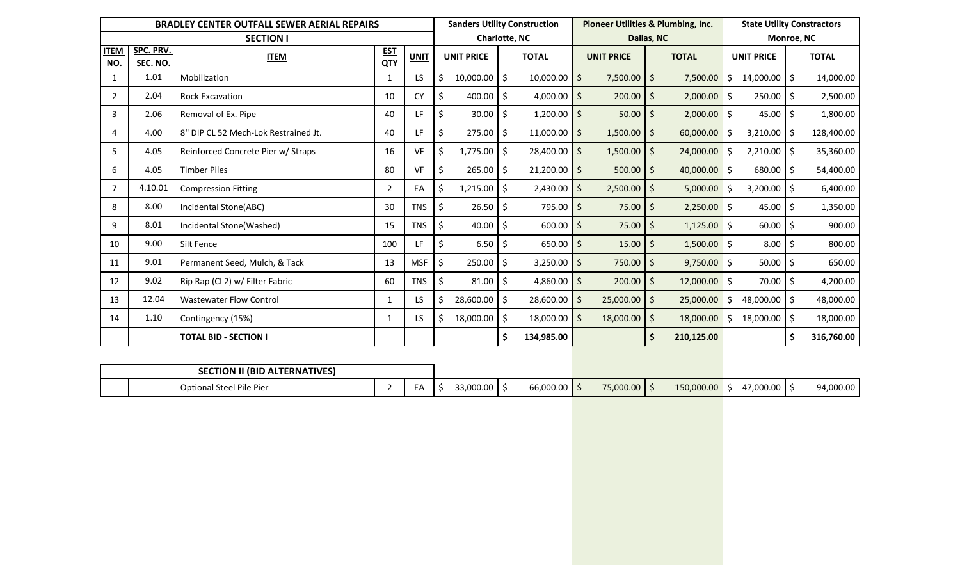|                    |                       | <b>BRADLEY CENTER OUTFALL SEWER AERIAL REPAIRS</b> | <b>Sanders Utility Construction</b> |             |                      |                    |                        | <b>Pioneer Utilities &amp; Plumbing, Inc.</b> | <b>State Utility Constractors</b> |                                |                   |                |         |              |  |
|--------------------|-----------------------|----------------------------------------------------|-------------------------------------|-------------|----------------------|--------------------|------------------------|-----------------------------------------------|-----------------------------------|--------------------------------|-------------------|----------------|---------|--------------|--|
|                    |                       | <b>SECTION I</b>                                   |                                     |             | <b>Charlotte, NC</b> |                    |                        |                                               |                                   | Dallas, NC                     |                   | Monroe, NC     |         |              |  |
| <b>ITEM</b><br>NO. | SPC. PRV.<br>SEC. NO. | <b>ITEM</b>                                        | <b>EST</b><br>QTY                   | <b>UNIT</b> | <b>UNIT PRICE</b>    |                    | <b>TOTAL</b>           |                                               | <b>UNIT PRICE</b>                 | <b>TOTAL</b>                   | <b>UNIT PRICE</b> |                |         | <b>TOTAL</b> |  |
|                    | 1.01                  | Mobilization                                       | $\mathbf 1$                         | LS          | $10,000.00$ \$<br>Ś  |                    | $10,000.00$ \$         |                                               | $7,500.00$ \$                     | 7,500.00                       |                   | $14,000.00$ \$ |         | 14,000.00    |  |
| 2                  | 2.04                  | <b>Rock Excavation</b>                             | 10                                  | <b>CY</b>   | 400.00<br>\$         | Ŝ.                 | 4,000.00 $\vert$ \$    |                                               | 200.00                            | $\ddot{\varsigma}$<br>2,000.00 | Ŝ.                | 250.00         | \$.     | 2,500.00     |  |
| 3                  | 2.06                  | Removal of Ex. Pipe                                | 40                                  | LF          | \$<br>30.00          | -\$                | $1,200.00$ \$          |                                               | 50.00                             | 2,000.00<br>-\$                | Ŝ.                | 45.00          | Ŝ.      | 1,800.00     |  |
| 4                  | 4.00                  | 8" DIP CL 52 Mech-Lok Restrained Jt.               | 40                                  | LF          | \$<br>275.00         | \$                 | $11,000.00$ \$         |                                               | $1,500.00$   \$                   | 60,000.00                      |                   | 3,210.00       | Ŝ.      | 128,400.00   |  |
| 5                  | 4.05                  | Reinforced Concrete Pier w/ Straps                 | 16                                  | VF          | \$<br>1,775.00       | l \$               | $28,400.00$ \$         |                                               | $1,500.00$ \$                     | 24,000.00                      |                   | 2,210.00       | $\zeta$ | 35,360.00    |  |
| 6                  | 4.05                  | Timber Piles                                       | 80                                  | VF          | 265.00<br>\$         | S.                 | $21,200.00$ \$         |                                               | $500.00$   \$                     | 40,000.00                      | -S                | 680.00         | Ŝ.      | 54,400.00    |  |
| 7                  | 4.10.01               | <b>Compression Fitting</b>                         | $\overline{2}$                      | EA          | 1,215.00<br>Ŝ        | Ŝ.                 | 2,430.00               | -Ś                                            | 2,500.00                          | 5,000.00<br>-S                 |                   | 3,200.00       | Ŝ.      | 6,400.00     |  |
| 8                  | 8.00                  | Incidental Stone(ABC)                              | 30                                  | <b>TNS</b>  | 26.50<br>Ś.          | Ŝ.                 | $795.00$   \$          |                                               | 75.00                             | 2,250.00<br>-\$                | S.                | 45.00          | Ŝ.      | 1,350.00     |  |
| 9                  | 8.01                  | Incidental Stone(Washed)                           | 15                                  | <b>TNS</b>  | 40.00<br>\$          | Ŝ.                 | $600.00$ \$            |                                               | 75.00                             | 1,125.00<br>-\$                | Ŝ.                | 60.00          | Ŝ.      | 900.00       |  |
| 10                 | 9.00                  | Silt Fence                                         | 100                                 | LF.         | \$<br>$6.50$   \$    |                    | $650.00$   \$          |                                               | 15.00                             | 1,500.00<br>-\$                | Ŝ.                | 8.00           | \$      | 800.00       |  |
| 11                 | 9.01                  | Permanent Seed, Mulch, & Tack                      | 13                                  | <b>MSF</b>  | 250.00<br>\$         | S.                 | $3,250.00$ \$          |                                               | 750.00                            | 9,750.00<br>-\$                | Ŝ.                | 50.00          | \$      | 650.00       |  |
| 12                 | 9.02                  | Rip Rap (Cl 2) w/ Filter Fabric                    | 60                                  | <b>TNS</b>  | \$<br>81.00          | 1, 5               | 4,860.00 $\frac{1}{5}$ |                                               | 200.00                            | -\$<br>12,000.00               | Ŝ.                | 70.00          | Ŝ.      | 4,200.00     |  |
| 13                 | 12.04                 | <b>Wastewater Flow Control</b>                     | 1                                   | LS.         | 28,600.00<br>Ś       | $\ddot{\varsigma}$ | $28,600.00$ \$         |                                               | $25,000.00$ \$                    | 25,000.00                      |                   | 48,000.00      | \$      | 48,000.00    |  |
| 14                 | 1.10                  | Contingency (15%)                                  | 1                                   | LS.         | 18,000.00<br>Ś       | \$                 | $18,000.00$   \$       |                                               | $18,000.00$ \$                    | 18,000.00                      |                   | 18,000.00      | \$      | 18,000.00    |  |
|                    |                       | <b>TOTAL BID - SECTION I</b>                       |                                     |             |                      |                    | 134,985.00             |                                               |                                   | \$<br>210,125.00               |                   |                | \$      | 316,760.00   |  |

| <b>SECTION II (BID ALTERNATIVES)</b> |        |           |           |           |            |           |           |
|--------------------------------------|--------|-----------|-----------|-----------|------------|-----------|-----------|
| <b>Optional Steel Pile Pier</b>      | .<br>⊢ | 33,000.00 | 66,000.00 | 75,000.00 | 150,000.00 | 17,000.00 | 94,000.00 |